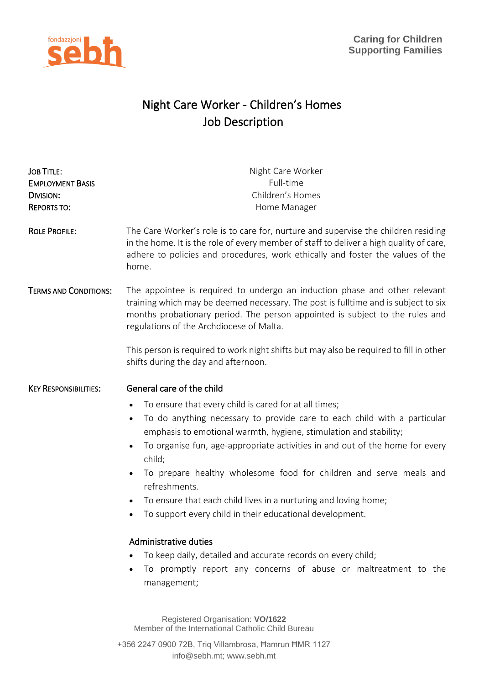



# Night Care Worker - Children's Homes Job Description

| <b>JOB TITLE:</b><br><b>EMPLOYMENT BASIS</b><br><b>DIVISION:</b><br><b>REPORTS TO:</b> | Night Care Worker<br>Full-time<br>Children's Homes<br>Home Manager                                                                                                                                                                                                                                                                                                                                                                                                                                                                                                                                                                                                                                                                                                                                                                               |
|----------------------------------------------------------------------------------------|--------------------------------------------------------------------------------------------------------------------------------------------------------------------------------------------------------------------------------------------------------------------------------------------------------------------------------------------------------------------------------------------------------------------------------------------------------------------------------------------------------------------------------------------------------------------------------------------------------------------------------------------------------------------------------------------------------------------------------------------------------------------------------------------------------------------------------------------------|
| <b>ROLE PROFILE:</b>                                                                   | The Care Worker's role is to care for, nurture and supervise the children residing<br>in the home. It is the role of every member of staff to deliver a high quality of care,<br>adhere to policies and procedures, work ethically and foster the values of the<br>home.                                                                                                                                                                                                                                                                                                                                                                                                                                                                                                                                                                         |
| <b>TERMS AND CONDITIONS:</b>                                                           | The appointee is required to undergo an induction phase and other relevant<br>training which may be deemed necessary. The post is fulltime and is subject to six<br>months probationary period. The person appointed is subject to the rules and<br>regulations of the Archdiocese of Malta.<br>This person is required to work night shifts but may also be required to fill in other<br>shifts during the day and afternoon.                                                                                                                                                                                                                                                                                                                                                                                                                   |
| <b>KEY RESPONSIBILITIES:</b>                                                           | General care of the child<br>To ensure that every child is cared for at all times;<br>$\bullet$<br>To do anything necessary to provide care to each child with a particular<br>$\bullet$<br>emphasis to emotional warmth, hygiene, stimulation and stability;<br>To organise fun, age-appropriate activities in and out of the home for every<br>$\bullet$<br>child;<br>To prepare healthy wholesome food for children and serve meals and<br>$\bullet$<br>refreshments.<br>To ensure that each child lives in a nurturing and loving home;<br>$\bullet$<br>To support every child in their educational development.<br>$\bullet$<br>Administrative duties<br>To keep daily, detailed and accurate records on every child;<br>To promptly report any concerns of abuse or maltreatment to the<br>management;<br>Registered Organisation: VO/1622 |

Member of the International Catholic Child Bureau

+356 2247 0900 72B, Triq Villambrosa, Ħamrun ĦMR 1127 info@sebh.mt; www.sebh.mt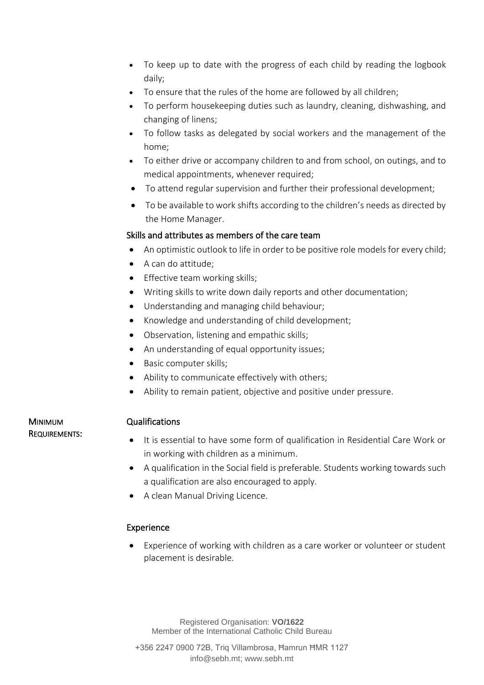- To keep up to date with the progress of each child by reading the logbook daily;
- To ensure that the rules of the home are followed by all children;
- To perform housekeeping duties such as laundry, cleaning, dishwashing, and changing of linens;
- To follow tasks as delegated by social workers and the management of the home;
- To either drive or accompany children to and from school, on outings, and to medical appointments, whenever required;
- To attend regular supervision and further their professional development;
- To be available to work shifts according to the children's needs as directed by the Home Manager.

### Skills and attributes as members of the care team

- An optimistic outlook to life in order to be positive role models for every child;
- A can do attitude;
- Effective team working skills;
- Writing skills to write down daily reports and other documentation;
- Understanding and managing child behaviour;
- Knowledge and understanding of child development;
- Observation, listening and empathic skills;
- An understanding of equal opportunity issues;
- Basic computer skills;
- Ability to communicate effectively with others;
- Ability to remain patient, objective and positive under pressure.

#### MINIMUM REQUIREMENTS:

## Qualifications

- It is essential to have some form of qualification in Residential Care Work or in working with children as a minimum.
- A qualification in the Social field is preferable. Students working towards such a qualification are also encouraged to apply.
- A clean Manual Driving Licence.

## Experience

• Experience of working with children as a care worker or volunteer or student placement is desirable.

Registered Organisation: **VO/1622** Member of the International Catholic Child Bureau

+356 2247 0900 72B, Triq Villambrosa, Ħamrun ĦMR 1127 info@sebh.mt; www.sebh.mt